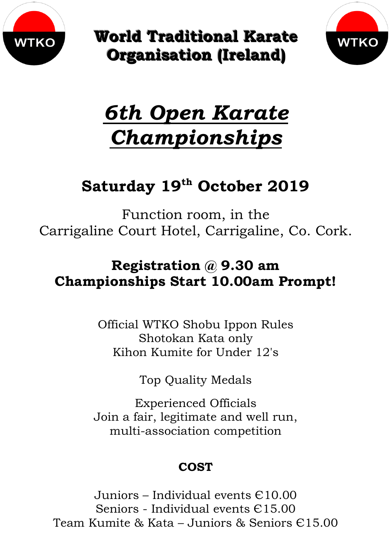

**World Traditional Karate Organisation (Ireland)** 



# *6th Open Karate Championships*

## **Saturday 19th October 2019**

Function room, in the Carrigaline Court Hotel, Carrigaline, Co. Cork.

## **Registration @ 9.30 am Championships Start 10.00am Prompt!**

Official WTKO Shobu Ippon Rules Shotokan Kata only Kihon Kumite for Under 12's

Top Quality Medals

Experienced Officials Join a fair, legitimate and well run, multi-association competition

### **COST**

Juniors – Individual events Є10.00 Seniors - Individual events Є15.00 Team Kumite & Kata – Juniors & Seniors Є15.00